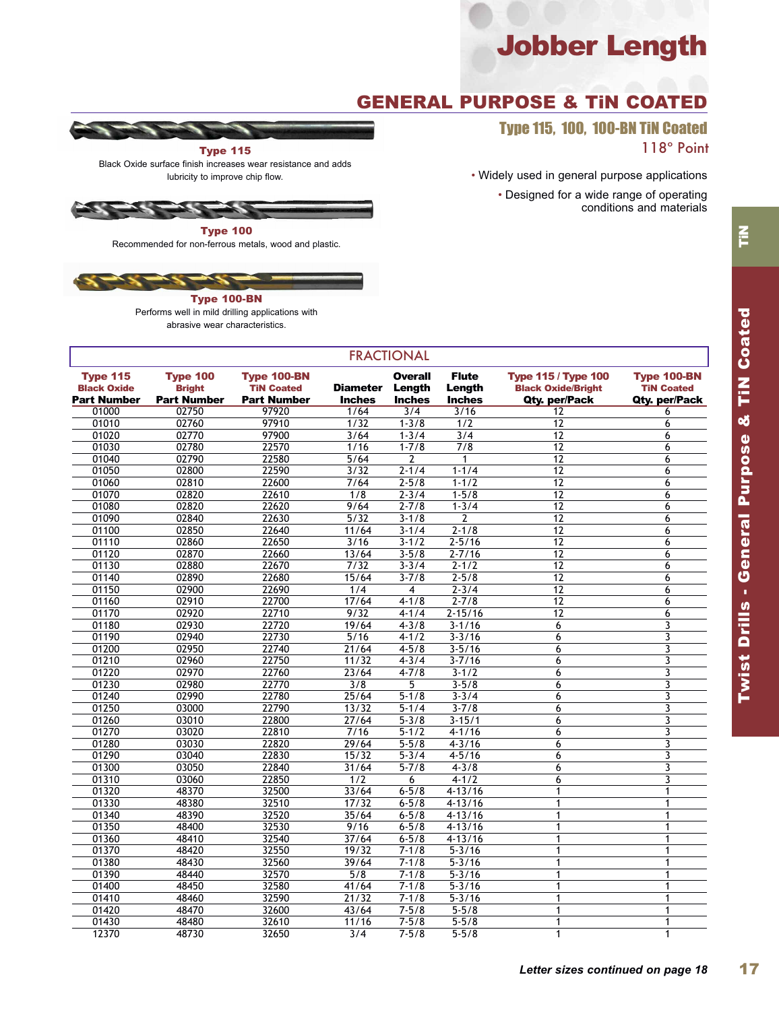## GENERAL PURPOSE & TiN COATED

Type 115, 100, 100-BN TiN Coated 118º Point

• Widely used in general purpose applications

• Designed for a wide range of operating conditions and materials





Recommended for non-ferrous metals, wood and plastic.



Type 100-BN Performs well in mild drilling applications with abrasive wear characteristics.

| <b>FRACTIONAL</b>                                    |                                                        |                                                               |                                  |                                           |                                         |                                                                          |                                                          |  |  |
|------------------------------------------------------|--------------------------------------------------------|---------------------------------------------------------------|----------------------------------|-------------------------------------------|-----------------------------------------|--------------------------------------------------------------------------|----------------------------------------------------------|--|--|
| Type 115<br><b>Black Oxide</b><br><b>Part Number</b> | <b>Type 100</b><br><b>Bright</b><br><b>Part Number</b> | <b>Type 100-BN</b><br><b>TiN Coated</b><br><b>Part Number</b> | <b>Diameter</b><br><b>Inches</b> | <b>Overall</b><br>Length<br><b>Inches</b> | <b>Flute</b><br>Length<br><b>Inches</b> | <b>Type 115 / Type 100</b><br><b>Black Oxide/Bright</b><br>Qty. per/Pack | <b>Type 100-BN</b><br><b>TiN Coated</b><br>Qty. per/Pack |  |  |
| 01000                                                | 02750                                                  | 97920                                                         | 1/64                             | 3/4                                       | 3/16                                    | 12                                                                       | 6                                                        |  |  |
| 01010                                                | 02760                                                  | 97910                                                         | 1/32                             | $1 - 3/8$                                 | 1/2                                     | 12                                                                       | 6                                                        |  |  |
| 01020                                                | 02770                                                  | 97900                                                         | 3/64                             | $1 - 3/4$                                 | $\overline{3/4}$                        | 12                                                                       | 6                                                        |  |  |
| 01030                                                | 02780                                                  | 22570                                                         | 1/16                             | $1 - 7/8$                                 | 7/8                                     | 12                                                                       | 6                                                        |  |  |
| 01040                                                | 02790                                                  | 22580                                                         | 5/64                             | 2                                         | 1                                       | 12                                                                       | 6                                                        |  |  |
| 01050                                                | 02800                                                  | 22590                                                         | 3/32                             | $2 - 1/4$                                 | $1 - 1/4$                               | 12                                                                       | 6                                                        |  |  |
| 01060                                                | 02810                                                  | 22600                                                         | 7/64                             | $2 - 5/8$                                 | $1 - 1/2$                               | 12                                                                       | 6                                                        |  |  |
| 01070                                                | 02820                                                  | 22610                                                         | 1/8                              | $2 - 3/4$                                 | $1 - 5/8$                               | 12                                                                       | 6                                                        |  |  |
| 01080                                                | 02820                                                  | 22620                                                         | 9/64                             | $2 - 7/8$                                 | $1 - 3/4$                               | 12                                                                       | 6                                                        |  |  |
| 01090                                                | 02840                                                  | 22630                                                         | 5/32                             | $3 - 1/8$                                 | $\overline{2}$                          | 12                                                                       | 6                                                        |  |  |
| 01100                                                | 02850                                                  | 22640                                                         | 11/64                            | $3 - 1/4$                                 | $2 - 1/8$                               | 12                                                                       | 6                                                        |  |  |
| 01110                                                | 02860                                                  | 22650                                                         | 3/16                             | $3 - 1/2$                                 | $2 - 5/16$                              | $\overline{12}$                                                          | 6                                                        |  |  |
| 01120                                                | 02870                                                  | 22660                                                         | 13/64                            | $3 - 5/8$                                 | $2 - 7/16$                              | 12                                                                       | 6                                                        |  |  |
| 01130                                                | 02880                                                  | 22670                                                         | 7/32                             | $3 - 3/4$                                 | $2 - 1/2$                               | 12                                                                       | 6                                                        |  |  |
| 01140                                                | 02890                                                  | 22680                                                         | 15/64                            | $3 - 7/8$                                 | $2 - 5/8$                               | $\overline{12}$                                                          | 6                                                        |  |  |
| 01150                                                | 02900                                                  | 22690                                                         | 1/4                              | 4                                         | $2 - 3/4$                               | 12                                                                       | 6                                                        |  |  |
| 01160                                                | 02910                                                  | 22700                                                         | 17/64                            | $4 - 1/8$                                 | $2 - 7/8$                               | 12                                                                       | 6                                                        |  |  |
| 01170                                                | 02920                                                  | 22710                                                         | 9/32                             | $4 - 1/4$                                 | $2 - 15/16$                             | 12                                                                       | 6                                                        |  |  |
| 01180                                                | 02930                                                  | 22720                                                         | 19/64                            | $4 - 3/8$                                 | $3 - 1/16$                              | 6                                                                        | 3                                                        |  |  |
| 01190                                                | 02940                                                  | 22730                                                         | 5/16                             | $4 - 1/2$                                 | $3 - 3/16$                              | 6                                                                        | 3                                                        |  |  |
| 01200                                                | 02950                                                  | 22740                                                         | 21/64                            | $4 - 5/8$                                 | $3 - 5/16$                              | 6                                                                        | 3                                                        |  |  |
| 01210                                                | 02960                                                  | 22750                                                         | 11/32                            | $4 - 3/4$                                 | $3 - 7/16$                              | 6                                                                        | 3                                                        |  |  |
| 01220                                                | 02970                                                  | 22760                                                         | 23/64                            | $4 - 7/8$                                 | $3 - 1/2$                               | 6                                                                        | 3                                                        |  |  |
| 01230                                                | 02980                                                  | 22770                                                         | 3/8                              | 5                                         | $3 - 5/8$                               | 6                                                                        | 3                                                        |  |  |
| 01240                                                | 02990                                                  | 22780                                                         | 25/64                            | $5 - 1/8$                                 | $3 - 3/4$                               | 6                                                                        | 3                                                        |  |  |
| 01250                                                | 03000                                                  | 22790                                                         | 13/32                            | $5 - 1/4$                                 | $3 - 7/8$                               | 6                                                                        | 3                                                        |  |  |
| 01260                                                | 03010                                                  | 22800                                                         | 27/64                            | $5 - 3/8$                                 | $3 - 15/1$                              | 6                                                                        | 3                                                        |  |  |
| 01270                                                | 03020                                                  | 22810                                                         | 7/16                             | $5 - 1/2$                                 | $4 - 1/16$                              | 6                                                                        | 3                                                        |  |  |
| 01280                                                | 03030                                                  | 22820                                                         | 29/64                            | $5 - 5/8$                                 | $4 - 3/16$                              | 6                                                                        | 3                                                        |  |  |
| 01290                                                | 03040                                                  | 22830                                                         | 15/32                            | $5 - 3/4$                                 | $4 - 5/16$                              | 6                                                                        | 3                                                        |  |  |
| 01300                                                | 03050                                                  | 22840                                                         | 31/64                            | $5 - 7/8$                                 | $4 - 3/8$                               | 6                                                                        | 3                                                        |  |  |
| 01310                                                | 03060                                                  | 22850                                                         | 1/2                              | 6                                         | $4 - 1/2$                               | 6                                                                        | 3                                                        |  |  |
| 01320                                                | 48370                                                  | 32500                                                         | 33/64                            | $6 - 5/8$                                 | $4 - 13/16$                             | 1                                                                        | 1                                                        |  |  |
| 01330                                                | 48380                                                  | 32510                                                         | 17/32                            | $6 - 5/8$                                 | $4 - 13/16$                             | $\mathbf{1}$                                                             | $\mathbf{1}$                                             |  |  |
| 01340                                                | 48390                                                  | 32520                                                         | 35/64                            | $6 - 5/8$                                 | $4 - 13/16$                             | 1                                                                        | 1                                                        |  |  |
| 01350                                                | 48400                                                  | 32530                                                         | 9/16                             | $6 - 5/8$                                 | $4 - 13/16$                             | $\mathbf{1}$                                                             | 1                                                        |  |  |
| 01360                                                | 48410                                                  | 32540                                                         | 37/64                            | $6 - 5/8$                                 | $4 - 13/16$                             | $\mathbf{1}$                                                             | 1                                                        |  |  |
| 01370                                                | 48420                                                  | 32550                                                         | 19/32                            | $7 - 1/8$                                 | $5 - 3/16$                              | 1                                                                        | $\mathbf{1}$                                             |  |  |
| 01380                                                | 48430                                                  | 32560                                                         | 39/64                            | $7 - 1/8$                                 | $5 - 3/16$                              | 1                                                                        | $\mathbf{1}$                                             |  |  |
| 01390                                                | 48440                                                  | 32570                                                         | 5/8                              | $7 - 1/8$                                 | $5 - 3/16$                              | 1                                                                        | $\mathbf{1}$                                             |  |  |
| 01400                                                | 48450                                                  | 32580                                                         | 41/64                            | $7 - 1/8$                                 | $5 - 3/16$                              | 1                                                                        | $\mathbf{1}$                                             |  |  |
| 01410                                                | 48460                                                  | 32590                                                         | 21/32                            | $7 - 1/8$                                 | $5 - 3/16$                              | 1                                                                        | $\mathbf{1}$                                             |  |  |
| 01420                                                | 48470                                                  | 32600                                                         | 43/64                            | $7 - 5/8$                                 | $5 - 5/8$                               | 1                                                                        | $\mathbf{1}$                                             |  |  |
| 01430                                                | 48480                                                  | 32610                                                         | 11/16                            | $7 - 5/8$                                 | $5 - 5/8$                               | 1                                                                        | $\mathbf{1}$                                             |  |  |
| 12370                                                | 48730                                                  | 32650                                                         | 3/4                              | $7 - 5/8$                                 | $5 - 5/8$                               | 1                                                                        | $\mathbf{1}$                                             |  |  |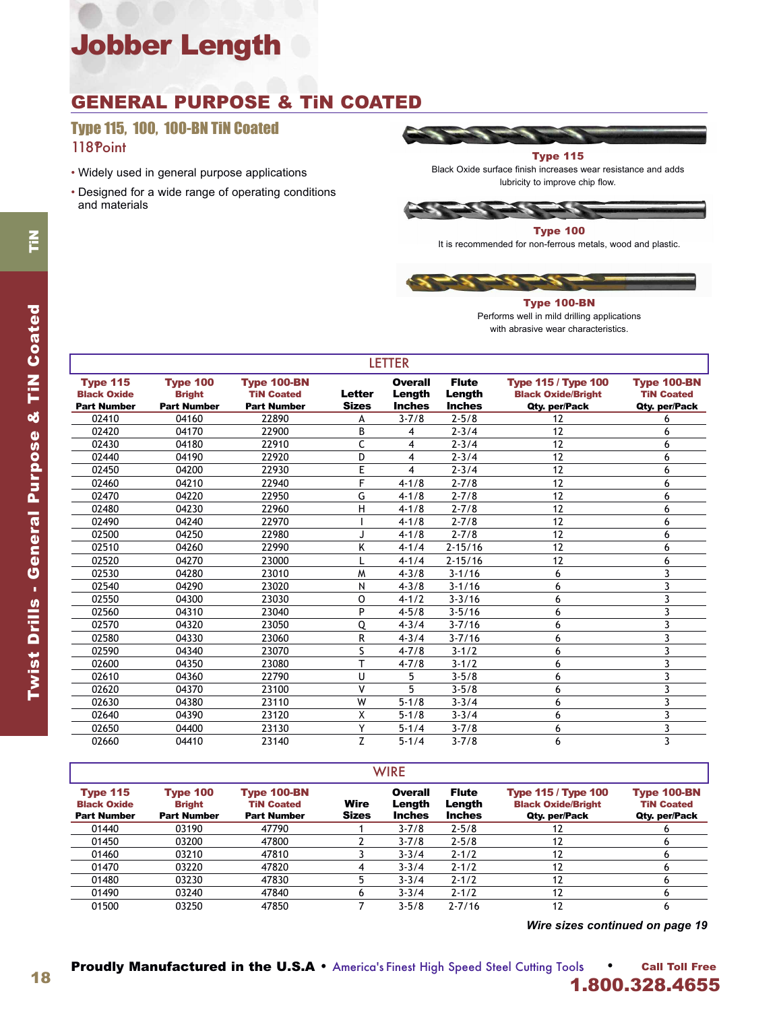## GENERAL PURPOSE & TiN COATED

### Type 115, 100, 100-BN TiN Coated 118 Point

- Widely used in general purpose applications
- Designed for a wide range of operating conditions and materials



Black Oxide surface finish increases wear resistance and adds lubricity to improve chip flow.

Type 100

It is recommended for non-ferrous metals, wood and plastic.



Type 100-BN Performs well in mild drilling applications with abrasive wear characteristics.

| <b>LETTER</b>                                               |                                                        |                                                               |                               |                                           |                                         |                                                                          |                                                          |  |  |  |
|-------------------------------------------------------------|--------------------------------------------------------|---------------------------------------------------------------|-------------------------------|-------------------------------------------|-----------------------------------------|--------------------------------------------------------------------------|----------------------------------------------------------|--|--|--|
| <b>Type 115</b><br><b>Black Oxide</b><br><b>Part Number</b> | <b>Type 100</b><br><b>Bright</b><br><b>Part Number</b> | <b>Type 100-BN</b><br><b>TiN Coated</b><br><b>Part Number</b> | <b>Letter</b><br><b>Sizes</b> | <b>Overall</b><br>Length<br><b>Inches</b> | <b>Flute</b><br>Length<br><b>Inches</b> | <b>Type 115 / Type 100</b><br><b>Black Oxide/Bright</b><br>Qty. per/Pack | <b>Type 100-BN</b><br><b>TiN Coated</b><br>Qty. per/Pack |  |  |  |
| 02410                                                       | 04160                                                  | 22890                                                         | А                             | $3 - 7/8$                                 | $2 - 5/8$                               | 12                                                                       | 6                                                        |  |  |  |
| 02420                                                       | 04170                                                  | 22900                                                         | B                             | 4                                         | $2 - 3/4$                               | 12                                                                       | 6                                                        |  |  |  |
| 02430                                                       | 04180                                                  | 22910                                                         | Ċ                             | 4                                         | $2 - 3/4$                               | 12                                                                       | 6                                                        |  |  |  |
| 02440                                                       | 04190                                                  | 22920                                                         | D                             | 4                                         | $2 - 3/4$                               | 12                                                                       | 6                                                        |  |  |  |
| 02450                                                       | 04200                                                  | 22930                                                         | E                             | 4                                         | $2 - 3/4$                               | 12                                                                       | 6                                                        |  |  |  |
| 02460                                                       | 04210                                                  | 22940                                                         | F                             | $4 - 1/8$                                 | $2 - 7/8$                               | 12                                                                       | 6                                                        |  |  |  |
| 02470                                                       | 04220                                                  | 22950                                                         | G                             | $4 - 1/8$                                 | $2 - 7/8$                               | 12                                                                       | 6                                                        |  |  |  |
| 02480                                                       | 04230                                                  | 22960                                                         | н                             | $4 - 1/8$                                 | $2 - 7/8$                               | 12                                                                       | 6                                                        |  |  |  |
| 02490                                                       | 04240                                                  | 22970                                                         |                               | $4 - 1/8$                                 | $2 - 7/8$                               | 12                                                                       | 6                                                        |  |  |  |
| 02500                                                       | 04250                                                  | 22980                                                         |                               | $4 - 1/8$                                 | $2 - 7/8$                               | 12                                                                       | 6                                                        |  |  |  |
| 02510                                                       | 04260                                                  | 22990                                                         | Κ                             | $4 - 1/4$                                 | $2 - 15/16$                             | 12                                                                       | 6                                                        |  |  |  |
| 02520                                                       | 04270                                                  | 23000                                                         |                               | $4 - 1/4$                                 | $2 - 15/16$                             | 12                                                                       | 6                                                        |  |  |  |
| 02530                                                       | 04280                                                  | 23010                                                         | M                             | $4 - 3/8$                                 | $3 - 1/16$                              | 6                                                                        | 3                                                        |  |  |  |
| 02540                                                       | 04290                                                  | 23020                                                         | N                             | $4 - 3/8$                                 | $3 - 1/16$                              | 6                                                                        | 3                                                        |  |  |  |
| 02550                                                       | 04300                                                  | 23030                                                         | 0                             | $4 - 1/2$                                 | $3 - 3/16$                              | 6                                                                        | 3                                                        |  |  |  |
| 02560                                                       | 04310                                                  | 23040                                                         | P                             | $4 - 5/8$                                 | $3 - 5/16$                              | 6                                                                        | 3                                                        |  |  |  |
| 02570                                                       | 04320                                                  | 23050                                                         | Q                             | $4 - 3/4$                                 | $3 - 7/16$                              | 6                                                                        | 3                                                        |  |  |  |
| 02580                                                       | 04330                                                  | 23060                                                         | R                             | $4 - 3/4$                                 | $3 - 7/16$                              | 6                                                                        | 3                                                        |  |  |  |
| 02590                                                       | 04340                                                  | 23070                                                         | S                             | $4 - 7/8$                                 | $3 - 1/2$                               | 6                                                                        | 3                                                        |  |  |  |
| 02600                                                       | 04350                                                  | 23080                                                         | T                             | $4 - 7/8$                                 | $3 - 1/2$                               | 6                                                                        | 3                                                        |  |  |  |
| 02610                                                       | 04360                                                  | 22790                                                         | U                             | 5                                         | $3 - 5/8$                               | 6                                                                        | 3                                                        |  |  |  |
| 02620                                                       | 04370                                                  | 23100                                                         | V                             | 5                                         | $3 - 5/8$                               | 6                                                                        | 3                                                        |  |  |  |
| 02630                                                       | 04380                                                  | 23110                                                         | W                             | $5 - 1/8$                                 | $3 - 3/4$                               | 6                                                                        | 3                                                        |  |  |  |
| 02640                                                       | 04390                                                  | 23120                                                         | Χ                             | $5 - 1/8$                                 | $3 - 3/4$                               | 6                                                                        | 3                                                        |  |  |  |
| 02650                                                       | 04400                                                  | 23130                                                         | Y                             | $5 - 1/4$                                 | $3 - 7/8$                               | 6                                                                        | 3                                                        |  |  |  |
| 02660                                                       | 04410                                                  | 23140                                                         | Z                             | $5 - 1/4$                                 | $3 - 7/8$                               | 6                                                                        | 3                                                        |  |  |  |

| × |  |  |
|---|--|--|

| <b>Type 115</b><br><b>Black Oxide</b><br><b>Part Number</b> | <b>Type 100</b><br><b>Bright</b><br><b>Part Number</b> | <b>Type 100-BN</b><br><b>TiN Coated</b><br><b>Part Number</b> | Wire<br><b>Sizes</b> | Overall<br>Length<br><b>Inches</b> | <b>Flute</b><br>Length<br><b>Inches</b> | <b>Type 115 / Type 100</b><br><b>Black Oxide/Bright</b><br>Qty. per/Pack | <b>Type 100-BN</b><br><b>TiN Coated</b><br>Qty. per/Pack |
|-------------------------------------------------------------|--------------------------------------------------------|---------------------------------------------------------------|----------------------|------------------------------------|-----------------------------------------|--------------------------------------------------------------------------|----------------------------------------------------------|
| 01440                                                       | 03190                                                  | 47790                                                         |                      | $3 - 7/8$                          | $2 - 5/8$                               |                                                                          |                                                          |
| 01450                                                       | 03200                                                  | 47800                                                         |                      | $3 - 7/8$                          | $2 - 5/8$                               | 12                                                                       | b                                                        |
| 01460                                                       | 03210                                                  | 47810                                                         |                      | $3 - 3/4$                          | $2 - 1/2$                               | 12                                                                       |                                                          |
| 01470                                                       | 03220                                                  | 47820                                                         |                      | $3 - 3/4$                          | $2 - 1/2$                               |                                                                          |                                                          |
| 01480                                                       | 03230                                                  | 47830                                                         |                      | $3 - 3/4$                          | $2 - 1/2$                               | 12                                                                       |                                                          |
| 01490                                                       | 03240                                                  | 47840                                                         |                      | $3 - 3/4$                          | $2 - 1/2$                               | 12                                                                       |                                                          |
| 01500                                                       | 03250                                                  | 47850                                                         |                      | $3 - 5/8$                          | $2 - 7/16$                              | 12                                                                       |                                                          |

*Wire sizes continued on page 19*

TiN

18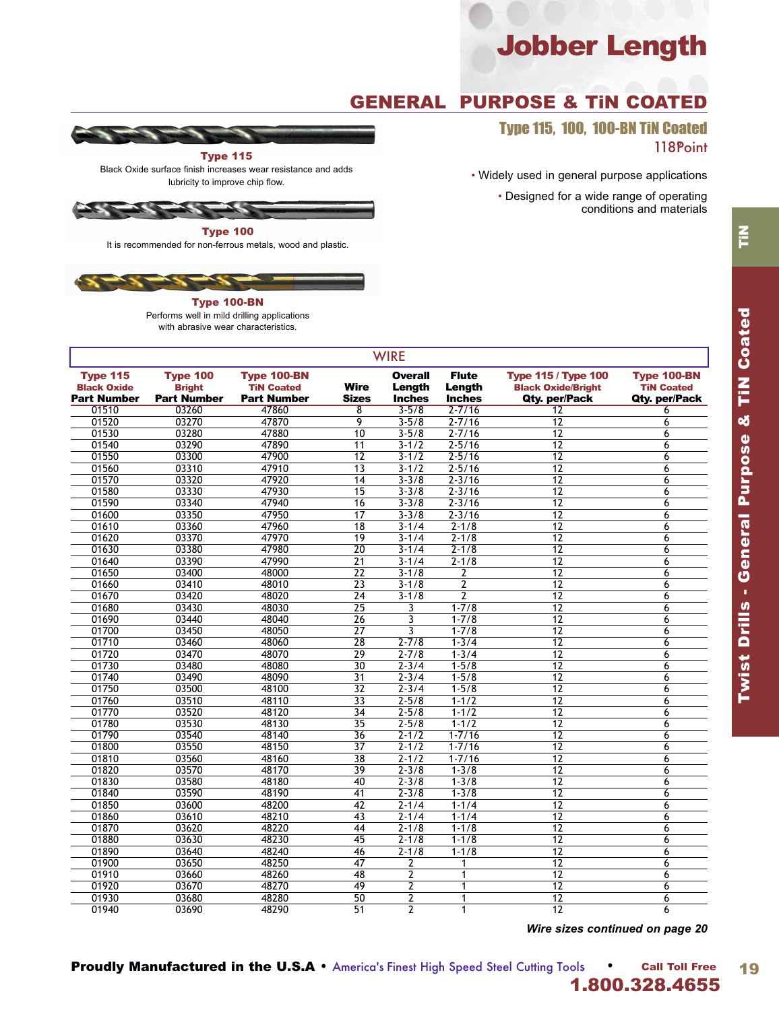## GENERAL PURPOSE & TiN COATED

Type 115, 100, 100-BN TiN Coated 118Point

• Widely used in general purpose applications

• Designed for a wide range of operating conditions and materials



Black Oxide surface finish increases wear resistance and adds lubricity to improve chip flow.



It is recommended for non-ferrous metals, wood and plastic.



Type 100-BN Performs well in mild drilling applications with abrasive wear characteristics.

| <b>WIRE</b>                                          |                                                        |                                                        |                             |                                           |                                         |                                                                          |                                                          |  |  |
|------------------------------------------------------|--------------------------------------------------------|--------------------------------------------------------|-----------------------------|-------------------------------------------|-----------------------------------------|--------------------------------------------------------------------------|----------------------------------------------------------|--|--|
| Type 115<br><b>Black Oxide</b><br><b>Part Number</b> | <b>Type 100</b><br><b>Bright</b><br><b>Part Number</b> | Type 100-BN<br><b>TiN Coated</b><br><b>Part Number</b> | <b>Wire</b><br><b>Sizes</b> | <b>Overall</b><br>Length<br><b>Inches</b> | <b>Flute</b><br>Length<br><b>Inches</b> | <b>Type 115 / Type 100</b><br><b>Black Oxide/Bright</b><br>Qty. per/Pack | <b>Type 100-BN</b><br><b>TiN Coated</b><br>Qty. per/Pack |  |  |
| 01510                                                | 03260                                                  | 47860                                                  | 8                           | $3 - 5/8$                                 | $2 - 7/16$                              | 12                                                                       | 6                                                        |  |  |
| 01520                                                | 03270                                                  | 47870                                                  | 9                           | $3 - 5/8$                                 | $2 - 7/16$                              | 12                                                                       | 6                                                        |  |  |
| 01530                                                | 03280                                                  | 47880                                                  | 10                          | $3 - 5/8$                                 | $2 - 7/16$                              | 12                                                                       | 6                                                        |  |  |
| 01540                                                | 03290                                                  | 47890                                                  | 11                          | $3 - 1/2$                                 | $2 - 5/16$                              | $\overline{12}$                                                          | 6                                                        |  |  |
| 01550                                                | 03300                                                  | 47900                                                  | 12                          | $3 - 1/2$                                 | $2 - 5/16$                              | 12                                                                       | 6                                                        |  |  |
| 01560                                                | 03310                                                  | 47910                                                  | $\overline{13}$             | $3 - 1/2$                                 | $2 - 5/16$                              | $\overline{12}$                                                          | 6                                                        |  |  |
| 01570                                                | 03320                                                  | 47920                                                  | 14                          | $3 - 3/8$                                 | $2 - 3/16$                              | 12                                                                       | 6                                                        |  |  |
| 01580                                                | 03330                                                  | 47930                                                  | 15                          | $3 - 3/8$                                 | $2 - 3/16$                              | $\overline{12}$                                                          | 6                                                        |  |  |
| 01590                                                | 03340                                                  | 47940                                                  | 16                          | $3 - 3/8$                                 | $2 - 3/16$                              | $\overline{12}$                                                          | $\overline{6}$                                           |  |  |
| 01600                                                | 03350                                                  | 47950                                                  | $\overline{17}$             | $3 - 3/8$                                 | $2 - 3/16$                              | $\overline{12}$                                                          | 6                                                        |  |  |
| 01610                                                | 03360                                                  | 47960                                                  | $\overline{18}$             | $3 - 1/4$                                 | $2 - 1/8$                               | $\overline{12}$                                                          | 6                                                        |  |  |
| 01620                                                | 03370                                                  | 47970                                                  | 19                          | $3 - 1/4$                                 | $2 - 1/8$                               | $\overline{12}$                                                          | 6                                                        |  |  |
| 01630                                                | 03380                                                  | 47980                                                  | $\overline{20}$             | $3 - 1/4$                                 | $2 - 1/8$                               | $\overline{12}$                                                          | 6                                                        |  |  |
| 01640                                                | 03390                                                  | 47990                                                  | 21                          | $3 - 1/4$                                 | $2 - 1/8$                               | 12                                                                       | 6                                                        |  |  |
| 01650                                                | 03400                                                  | 48000                                                  | 22                          | $3 - 1/8$                                 | 2                                       | 12                                                                       | 6                                                        |  |  |
| 01660                                                | 03410                                                  | 48010                                                  | $\overline{23}$             | $3 - 1/8$                                 | 2                                       | 12                                                                       | 6                                                        |  |  |
| 01670                                                | 03420                                                  | 48020                                                  | $\overline{24}$             | $3 - 1/8$                                 | $\overline{2}$                          | 12                                                                       | 6                                                        |  |  |
| 01680                                                | 03430                                                  | 48030                                                  | $\overline{25}$             | 3                                         | $1 - 7/8$                               | $\overline{12}$                                                          | 6                                                        |  |  |
| 01690                                                | 03440                                                  | 48040                                                  | $\overline{26}$             | $\overline{3}$                            | $1 - 7/8$                               | 12                                                                       | 6                                                        |  |  |
| 01700                                                | 03450                                                  | 48050                                                  | 27                          | 3                                         | $1 - 7/8$                               | 12                                                                       | 6                                                        |  |  |
| 01710                                                | 03460                                                  | 48060                                                  | $\overline{28}$             | $2 - 7/8$                                 | $1 - 3/4$                               | $\overline{12}$                                                          | 6                                                        |  |  |
| 01720                                                | 03470                                                  | 48070                                                  | $\overline{29}$             | $2 - 7/8$                                 | $1 - 3/4$                               | $\overline{12}$                                                          | 6                                                        |  |  |
| 01730                                                | 03480                                                  | 48080                                                  | $\overline{30}$             | $2 - 3/4$                                 | $1 - 5/8$                               | $\overline{12}$                                                          | 6                                                        |  |  |
| 01740                                                | 03490                                                  | 48090                                                  | $\overline{31}$             | $2 - 3/4$                                 | $1 - 5/8$                               | $\overline{12}$                                                          | 6                                                        |  |  |
| 01750                                                | 03500                                                  | 48100                                                  | $\overline{32}$             | $2 - 3/4$                                 | $1 - 5/8$                               | $\overline{12}$                                                          | 6                                                        |  |  |
| 01760                                                | 03510                                                  | 48110                                                  | $\overline{33}$             | $2 - 5/8$                                 | $1 - 1/2$                               | $\overline{12}$                                                          | 6                                                        |  |  |
| 01770                                                | 03520                                                  | 48120                                                  | $\overline{34}$             | $2 - 5/8$                                 | $1 - 1/2$                               | $\overline{12}$                                                          | 6                                                        |  |  |
| 01780                                                | 03530                                                  | 48130                                                  | $\overline{35}$             | $2 - 5/8$                                 | $1 - 1/2$                               | $\overline{12}$                                                          | 6                                                        |  |  |
| 01790                                                | 03540                                                  | 48140                                                  | $\overline{36}$             | $2 - 1/2$                                 | $1 - 7/16$                              | $\overline{12}$                                                          | 6                                                        |  |  |
| 01800                                                | 03550                                                  | 48150                                                  | 37                          | $2 - 1/2$                                 | $1 - 7/16$                              | 12                                                                       | $6\overline{6}$                                          |  |  |
| 01810                                                | 03560                                                  | 48160                                                  | 38                          | $\overline{2} - 1/2$                      | $1 - 7/16$                              | 12                                                                       | 6                                                        |  |  |
| 01820                                                | 03570                                                  | 48170                                                  | 39                          | $2 - 3/8$                                 | $1 - 3/8$                               | 12                                                                       | 6                                                        |  |  |
| 01830                                                | 03580                                                  | 48180                                                  | 40                          | $2 - 3/8$                                 | $1 - 3/8$                               | 12                                                                       | 6                                                        |  |  |
| 01840                                                | 03590                                                  | 48190                                                  | 41                          | $2 - 3/8$                                 | $1 - 3/8$                               | $\overline{12}$                                                          | 6                                                        |  |  |
| 01850                                                | 03600                                                  | 48200                                                  | 42                          | $2 - 1/4$                                 | $1 - 1/4$                               | 12                                                                       | 6                                                        |  |  |
| 01860                                                | 03610                                                  | 48210                                                  | 43                          | $2 - 1/4$                                 | $1 - 1/4$                               | $\overline{12}$                                                          | 6                                                        |  |  |
| 01870                                                | 03620                                                  | 48220                                                  | 44                          | $2 - 1/8$                                 | $1 - 1/8$                               | 12                                                                       | 6                                                        |  |  |
| 01880                                                | 03630                                                  | 48230                                                  | 45                          | $2 - 1/8$                                 | $1 - 1/8$                               | $\overline{12}$                                                          | 6                                                        |  |  |
| 01890                                                | 03640                                                  | 48240                                                  | 46                          | $2 - 1/8$                                 | $1 - 1/8$                               | $\overline{12}$                                                          | 6                                                        |  |  |
| 01900                                                | 03650                                                  | 48250                                                  | $\overline{47}$             | 2                                         | 1                                       | $\overline{12}$                                                          | 6                                                        |  |  |
| 01910                                                | 03660                                                  | 48260                                                  | 48                          | $\overline{2}$                            | $\overline{1}$                          | $\overline{12}$                                                          | 6                                                        |  |  |
| 01920                                                | 03670                                                  | 48270                                                  | 49                          | $\overline{2}$                            | $\mathbf{1}$                            | 12                                                                       | 6                                                        |  |  |
| 01930                                                | 03680                                                  | 48280                                                  | $\overline{50}$             | $\overline{2}$                            | $\overline{1}$                          | $\overline{12}$                                                          | $\overline{6}$                                           |  |  |
| 01940                                                | 03690                                                  | 48290                                                  | $\overline{51}$             | $\overline{2}$                            | $\mathbf{1}$                            | 12                                                                       | 6                                                        |  |  |
|                                                      |                                                        |                                                        |                             |                                           |                                         |                                                                          |                                                          |  |  |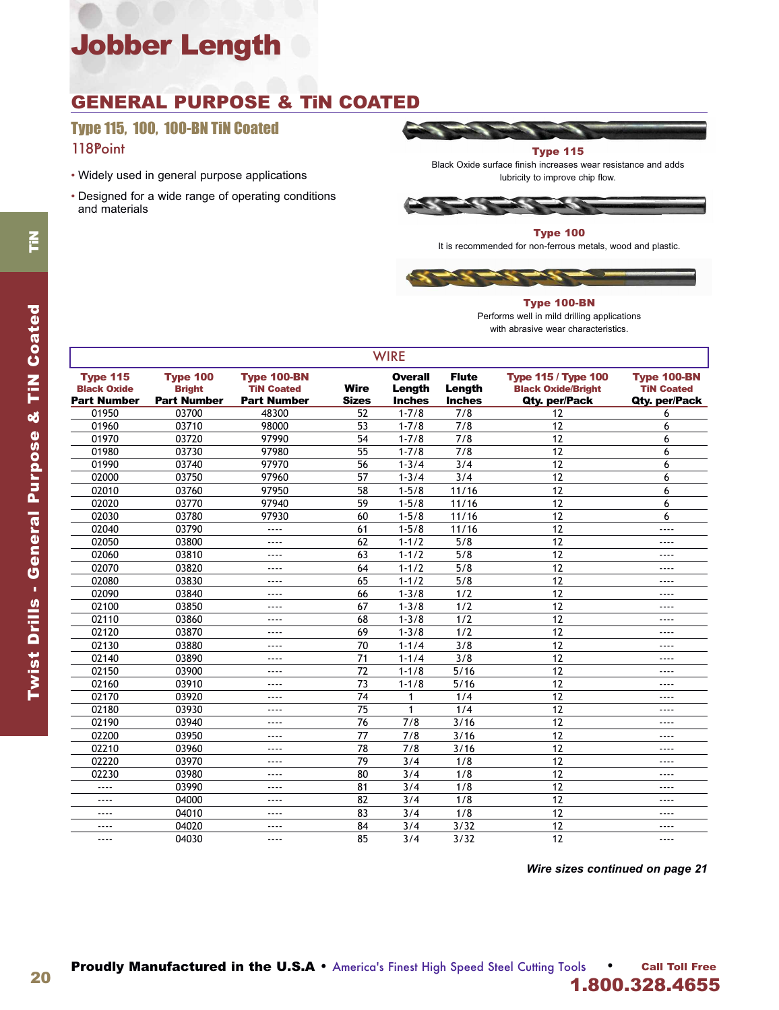### GENERAL PURPOSE & TiN COATED

### Type 115, 100, 100-BN TiN Coated 118Point

- Widely used in general purpose applications
- Designed for a wide range of operating conditions and materials



### Type 100

It is recommended for non-ferrous metals, wood and plastic.



#### Type 100-BN Performs well in mild drilling applications with abrasive wear characteristics.

|                                                             | <b>WIRE</b>                                            |                                                               |                             |                                           |                                         |                                                                          |                                                   |  |  |  |  |
|-------------------------------------------------------------|--------------------------------------------------------|---------------------------------------------------------------|-----------------------------|-------------------------------------------|-----------------------------------------|--------------------------------------------------------------------------|---------------------------------------------------|--|--|--|--|
| <b>Type 115</b><br><b>Black Oxide</b><br><b>Part Number</b> | <b>Type 100</b><br><b>Bright</b><br><b>Part Number</b> | <b>Type 100-BN</b><br><b>TiN Coated</b><br><b>Part Number</b> | <b>Wire</b><br><b>Sizes</b> | <b>Overall</b><br>Length<br><b>Inches</b> | <b>Flute</b><br>Length<br><b>Inches</b> | <b>Type 115 / Type 100</b><br><b>Black Oxide/Bright</b><br>Qty. per/Pack | Type 100-BN<br><b>TiN Coated</b><br>Qty. per/Pack |  |  |  |  |
| 01950                                                       | 03700                                                  | 48300                                                         | 52                          | $1 - 7/8$                                 | 7/8                                     | 12                                                                       | 6                                                 |  |  |  |  |
| 01960                                                       | 03710                                                  | 98000                                                         | 53                          | $1 - 7/8$                                 | 7/8                                     | 12                                                                       | 6                                                 |  |  |  |  |
| 01970                                                       | 03720                                                  | 97990                                                         | 54                          | $1 - 7/8$                                 | 7/8                                     | 12                                                                       | 6                                                 |  |  |  |  |
| 01980                                                       | 03730                                                  | 97980                                                         | 55                          | $1 - 7/8$                                 | 7/8                                     | 12                                                                       | 6                                                 |  |  |  |  |
| 01990                                                       | 03740                                                  | 97970                                                         | 56                          | $1 - 3/4$                                 | 3/4                                     | 12                                                                       | 6                                                 |  |  |  |  |
| 02000                                                       | 03750                                                  | 97960                                                         | 57                          | $1 - 3/4$                                 | 3/4                                     | 12                                                                       | 6                                                 |  |  |  |  |
| 02010                                                       | 03760                                                  | 97950                                                         | 58                          | $1 - 5/8$                                 | 11/16                                   | 12                                                                       | 6                                                 |  |  |  |  |
| 02020                                                       | 03770                                                  | 97940                                                         | 59                          | $1 - 5/8$                                 | 11/16                                   | 12                                                                       | 6                                                 |  |  |  |  |
| 02030                                                       | 03780                                                  | 97930                                                         | 60                          | $1 - 5/8$                                 | 11/16                                   | 12                                                                       | 6                                                 |  |  |  |  |
| 02040                                                       | 03790                                                  | ----                                                          | 61                          | $1 - 5/8$                                 | 11/16                                   | 12                                                                       | ----                                              |  |  |  |  |
| 02050                                                       | 03800                                                  | ----                                                          | 62                          | $1 - 1/2$                                 | 5/8                                     | 12                                                                       | $\cdots$                                          |  |  |  |  |
| 02060                                                       | 03810                                                  | ----                                                          | 63                          | $1 - 1/2$                                 | 5/8                                     | 12                                                                       | $- - - -$                                         |  |  |  |  |
| 02070                                                       | 03820                                                  | $- - - -$                                                     | 64                          | $1 - 1/2$                                 | 5/8                                     | 12                                                                       | $- - - -$                                         |  |  |  |  |
| 02080                                                       | 03830                                                  | ----                                                          | 65                          | $1 - 1/2$                                 | 5/8                                     | 12                                                                       | ----                                              |  |  |  |  |
| 02090                                                       | 03840                                                  | ----                                                          | 66                          | $1 - 3/8$                                 | 1/2                                     | 12                                                                       | $---$                                             |  |  |  |  |
| 02100                                                       | 03850                                                  | ----                                                          | 67                          | $1 - 3/8$                                 | 1/2                                     | 12                                                                       | $---$                                             |  |  |  |  |
| 02110                                                       | 03860                                                  | ----                                                          | 68                          | $1 - 3/8$                                 | 1/2                                     | 12                                                                       | $---$                                             |  |  |  |  |
| 02120                                                       | 03870                                                  | ----                                                          | 69                          | $1 - 3/8$                                 | 1/2                                     | 12                                                                       | $---$                                             |  |  |  |  |
| 02130                                                       | 03880                                                  | $- - - -$                                                     | 70                          | $1 - 1/4$                                 | 3/8                                     | 12                                                                       | $- - - -$                                         |  |  |  |  |
| 02140                                                       | 03890                                                  | ----                                                          | 71                          | $1 - 1/4$                                 | 3/8                                     | 12                                                                       | $---$                                             |  |  |  |  |
| 02150                                                       | 03900                                                  | ----                                                          | 72                          | $1 - 1/8$                                 | $5/16$                                  | 12                                                                       | $---$                                             |  |  |  |  |
| 02160                                                       | 03910                                                  | ----                                                          | 73                          | $1 - 1/8$                                 | 5/16                                    | 12                                                                       | ----                                              |  |  |  |  |
| 02170                                                       | 03920                                                  | ----                                                          | 74                          | 1                                         | 1/4                                     | 12                                                                       | $---$                                             |  |  |  |  |
| 02180                                                       | 03930                                                  | ----                                                          | 75                          | 1                                         | 1/4                                     | 12                                                                       | $\cdots$                                          |  |  |  |  |
| 02190                                                       | 03940                                                  | ----                                                          | 76                          | 7/8                                       | 3/16                                    | 12                                                                       | ----                                              |  |  |  |  |
| 02200                                                       | 03950                                                  | ----                                                          | 77                          | 7/8                                       | 3/16                                    | 12                                                                       | $---$                                             |  |  |  |  |
| 02210                                                       | 03960                                                  | ----                                                          | 78                          | 7/8                                       | 3/16                                    | 12                                                                       | $---$                                             |  |  |  |  |
| 02220                                                       | 03970                                                  | ----                                                          | 79                          | 3/4                                       | 1/8                                     | 12                                                                       | $---$                                             |  |  |  |  |
| 02230                                                       | 03980                                                  | ----                                                          | 80                          | 3/4                                       | 1/8                                     | 12                                                                       | $\cdots$                                          |  |  |  |  |
| ----                                                        | 03990                                                  | ----                                                          | 81                          | 3/4                                       | 1/8                                     | 12                                                                       | $---$                                             |  |  |  |  |
| ----                                                        | 04000                                                  | ----                                                          | 82                          | 3/4                                       | 1/8                                     | 12                                                                       | $---$                                             |  |  |  |  |
| ----                                                        | 04010                                                  | ----                                                          | 83                          | 3/4                                       | 1/8                                     | 12                                                                       | $---$                                             |  |  |  |  |
| ----                                                        | 04020                                                  | ----                                                          | 84                          | 3/4                                       | 3/32                                    | 12                                                                       | ----                                              |  |  |  |  |
| ----                                                        | 04030                                                  | ----                                                          | 85                          | 3/4                                       | 3/32                                    | 12                                                                       | $- - - -$                                         |  |  |  |  |

#### *Wire sizes continued on page 21*

20